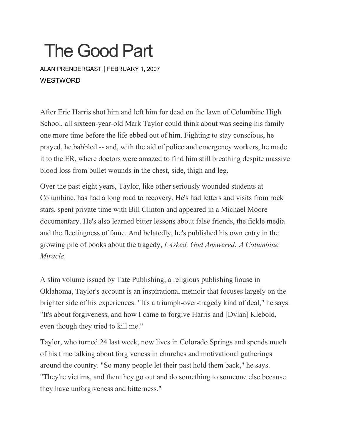## The Good Part

ALAN [PRENDERGAST](https://www.westword.com/authors/alan-prendergast-5052731) | FEBRUARY 1, 2007 **WESTWORD** 

After Eric Harris shot him and left him for dead on the lawn of Columbine High School, all sixteen-year-old Mark Taylor could think about was seeing his family one more time before the life ebbed out of him. Fighting to stay conscious, he prayed, he babbled -- and, with the aid of police and emergency workers, he made it to the ER, where doctors were amazed to find him still breathing despite massive blood loss from bullet wounds in the chest, side, thigh and leg.

Over the past eight years, Taylor, like other seriously wounded students at Columbine, has had a long road to recovery. He's had letters and visits from rock stars, spent private time with Bill Clinton and appeared in a Michael Moore documentary. He's also learned bitter lessons about false friends, the fickle media and the fleetingness of fame. And belatedly, he's published his own entry in the growing pile of books about the tragedy, *I Asked, God Answered: A Columbine Miracle*.

A slim volume issued by Tate Publishing, a religious publishing house in Oklahoma, Taylor's account is an inspirational memoir that focuses largely on the brighter side of his experiences. "It's a triumph-over-tragedy kind of deal," he says. "It's about forgiveness, and how I came to forgive Harris and [Dylan] Klebold, even though they tried to kill me."

Taylor, who turned 24 last week, now lives in Colorado Springs and spends much of his time talking about forgiveness in churches and motivational gatherings around the country. "So many people let their past hold them back," he says. "They're victims, and then they go out and do something to someone else because they have unforgiveness and bitterness."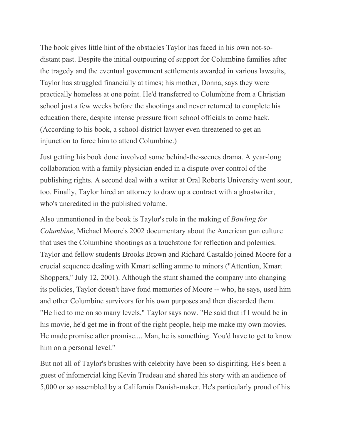The book gives little hint of the obstacles Taylor has faced in his own not-sodistant past. Despite the initial outpouring of support for Columbine families after the tragedy and the eventual government settlements awarded in various lawsuits, Taylor has struggled financially at times; his mother, Donna, says they were practically homeless at one point. He'd transferred to Columbine from a Christian school just a few weeks before the shootings and never returned to complete his education there, despite intense pressure from school officials to come back. (According to his book, a school-district lawyer even threatened to get an injunction to force him to attend Columbine.)

Just getting his book done involved some behind-the-scenes drama. A year-long collaboration with a family physician ended in a dispute over control of the publishing rights. A second deal with a writer at Oral Roberts University went sour, too. Finally, Taylor hired an attorney to draw up a contract with a ghostwriter, who's uncredited in the published volume.

Also unmentioned in the book is Taylor's role in the making of *Bowling for Columbine*, Michael Moore's 2002 documentary about the American gun culture that uses the Columbine shootings as a touchstone for reflection and polemics. Taylor and fellow students Brooks Brown and Richard Castaldo joined Moore for a crucial sequence dealing with Kmart selling ammo to minors ("Attention, Kmart Shoppers," July 12, 2001). Although the stunt shamed the company into changing its policies, Taylor doesn't have fond memories of Moore -- who, he says, used him and other Columbine survivors for his own purposes and then discarded them. "He lied to me on so many levels," Taylor says now. "He said that if I would be in his movie, he'd get me in front of the right people, help me make my own movies. He made promise after promise.... Man, he is something. You'd have to get to know him on a personal level."

But not all of Taylor's brushes with celebrity have been so dispiriting. He's been a guest of infomercial king Kevin Trudeau and shared his story with an audience of 5,000 or so assembled by a California Danish-maker. He's particularly proud of his